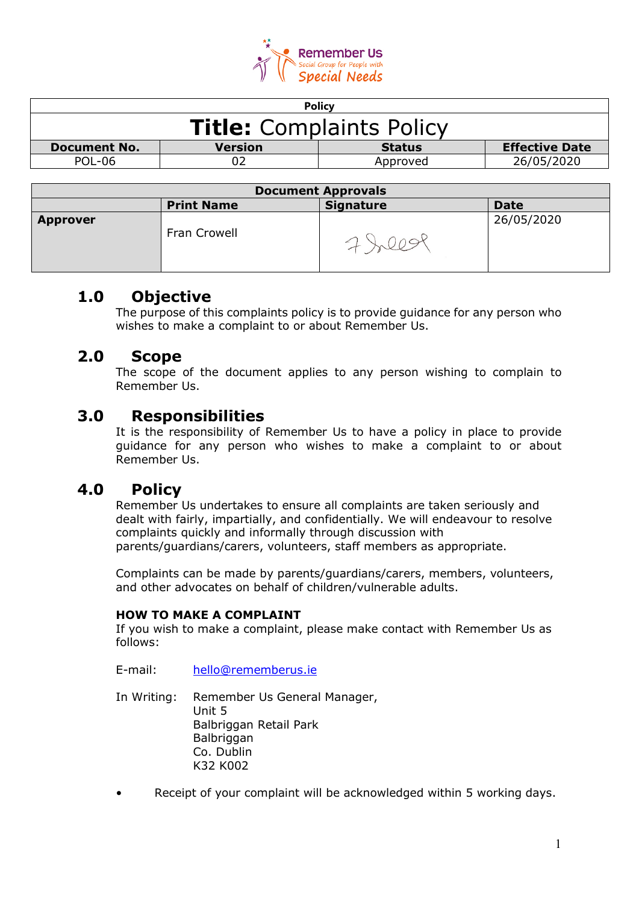

| <b>Policy</b>                   |         |               |                       |  |
|---------------------------------|---------|---------------|-----------------------|--|
| <b>Title:</b> Complaints Policy |         |               |                       |  |
| <b>Document No.</b>             | Version | <b>Status</b> | <b>Effective Date</b> |  |
| <b>POL-06</b>                   |         | Approved      | 26/05/2020            |  |
|                                 |         |               |                       |  |

| <b>Document Approvals</b> |                   |                  |             |  |
|---------------------------|-------------------|------------------|-------------|--|
|                           | <b>Print Name</b> | <b>Signature</b> | <b>Date</b> |  |
| <b>Approver</b>           | Fran Crowell      |                  | 26/05/2020  |  |

# **1.0 Objective**

The purpose of this complaints policy is to provide guidance for any person who wishes to make a complaint to or about Remember Us.

# **2.0 Scope**

The scope of the document applies to any person wishing to complain to Remember Us.

### **3.0 Responsibilities**

It is the responsibility of Remember Us to have a policy in place to provide guidance for any person who wishes to make a complaint to or about Remember Us.

# **4.0 Policy**

Remember Us undertakes to ensure all complaints are taken seriously and dealt with fairly, impartially, and confidentially. We will endeavour to resolve complaints quickly and informally through discussion with parents/guardians/carers, volunteers, staff members as appropriate.

Complaints can be made by parents/guardians/carers, members, volunteers, and other advocates on behalf of children/vulnerable adults.

#### **HOW TO MAKE A COMPLAINT**

If you wish to make a complaint, please make contact with Remember Us as follows:

E-mail: [hello@rememberus.ie](mailto:hello@rememberus.ie)

In Writing: Remember Us General Manager, Unit 5 Balbriggan Retail Park **Balbriggan** Co. Dublin K32 K002

• Receipt of your complaint will be acknowledged within 5 working days.